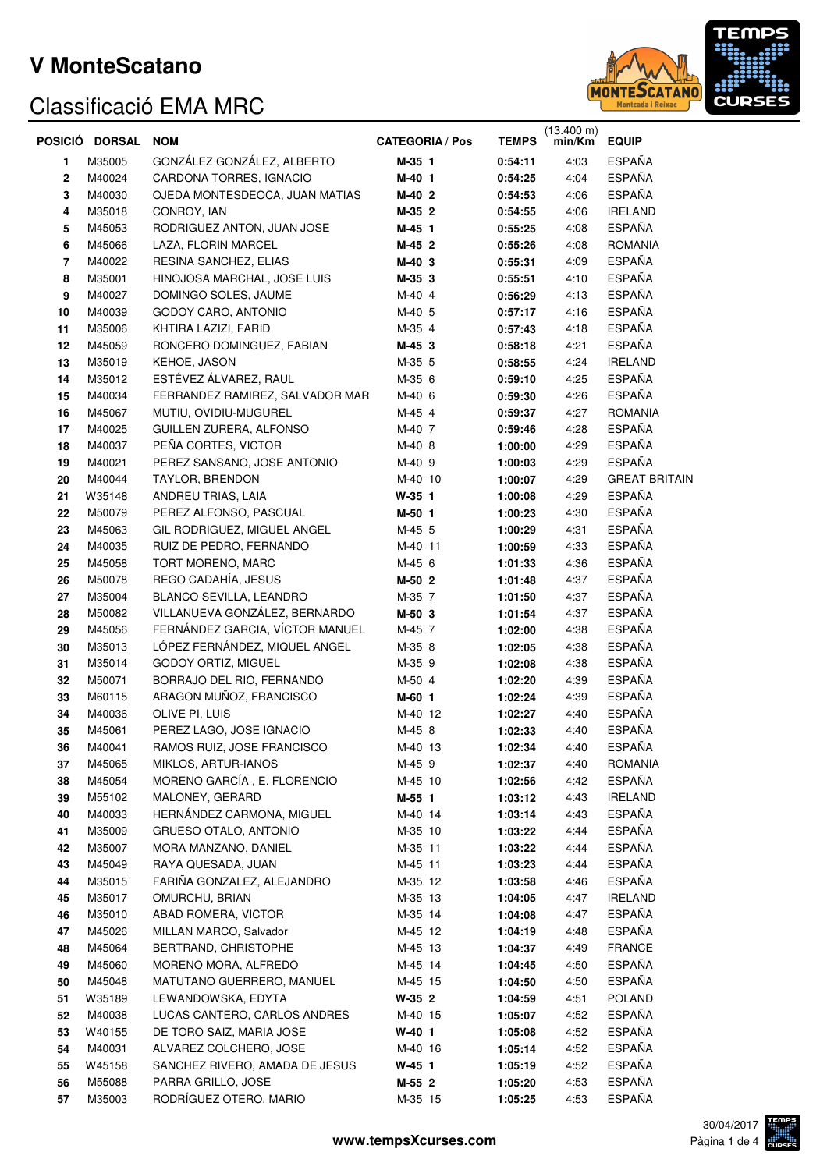

|    | POSICIÓ DORSAL | <b>NOM</b>                      | <b>CATEGORIA / Pos</b> | <b>TEMPS</b> | $(13.400 \text{ m})$<br>min/Km | <b>EQUIP</b>         |
|----|----------------|---------------------------------|------------------------|--------------|--------------------------------|----------------------|
| 1  | M35005         | GONZÁLEZ GONZÁLEZ, ALBERTO      | M-35 1                 | 0:54:11      | 4:03                           | <b>ESPAÑA</b>        |
| 2  | M40024         | CARDONA TORRES, IGNACIO         | M-40 1                 | 0:54:25      | 4:04                           | <b>ESPAÑA</b>        |
| 3  | M40030         | OJEDA MONTESDEOCA, JUAN MATIAS  | M-40 2                 | 0:54:53      | 4:06                           | <b>ESPAÑA</b>        |
| 4  | M35018         | CONROY, IAN                     | M-35 2                 | 0:54:55      | 4:06                           | <b>IRELAND</b>       |
| 5  | M45053         | RODRIGUEZ ANTON, JUAN JOSE      | M-45 1                 | 0:55:25      | 4:08                           | <b>ESPAÑA</b>        |
| 6  | M45066         | LAZA, FLORIN MARCEL             | M-45 2                 | 0:55:26      | 4:08                           | <b>ROMANIA</b>       |
| 7  | M40022         | RESINA SANCHEZ, ELIAS           | M-40 3                 | 0:55:31      | 4:09                           | <b>ESPAÑA</b>        |
| 8  | M35001         | HINOJOSA MARCHAL, JOSE LUIS     | M-35 3                 | 0:55:51      | 4:10                           | <b>ESPAÑA</b>        |
| 9  | M40027         | DOMINGO SOLES, JAUME            | M-40 4                 | 0:56:29      | 4:13                           | <b>ESPAÑA</b>        |
| 10 | M40039         | GODOY CARO, ANTONIO             | M-40 5                 | 0:57:17      | 4:16                           | <b>ESPAÑA</b>        |
| 11 | M35006         | KHTIRA LAZIZI, FARID            | M-35 4                 | 0:57:43      | 4:18                           | <b>ESPAÑA</b>        |
| 12 | M45059         | RONCERO DOMINGUEZ, FABIAN       | M-45 3                 | 0:58:18      | 4:21                           | ESPAÑA               |
| 13 | M35019         | KEHOE, JASON                    | M-35 5                 | 0:58:55      | 4:24                           | <b>IRELAND</b>       |
| 14 | M35012         | ESTÉVEZ ÁLVAREZ, RAUL           | M-35 6                 | 0:59:10      | 4:25                           | ESPAÑA               |
| 15 | M40034         | FERRANDEZ RAMIREZ, SALVADOR MAR | M-40 6                 | 0:59:30      | 4:26                           | <b>ESPAÑA</b>        |
| 16 | M45067         | MUTIU, OVIDIU-MUGUREL           | M-45 4                 | 0:59:37      | 4:27                           | <b>ROMANIA</b>       |
| 17 | M40025         | GUILLEN ZURERA, ALFONSO         | M-40 7                 | 0:59:46      | 4:28                           | <b>ESPAÑA</b>        |
| 18 | M40037         | PEÑA CORTES, VICTOR             | M-40 8                 | 1:00:00      | 4:29                           | <b>ESPAÑA</b>        |
| 19 | M40021         | PEREZ SANSANO, JOSE ANTONIO     | M-40 9                 | 1:00:03      | 4:29                           | <b>ESPAÑA</b>        |
| 20 | M40044         | TAYLOR, BRENDON                 | M-40 10                | 1:00:07      | 4:29                           | <b>GREAT BRITAIN</b> |
| 21 | W35148         | ANDREU TRIAS, LAIA              | $W-35$ 1               | 1:00:08      | 4:29                           | <b>ESPAÑA</b>        |
| 22 | M50079         | PEREZ ALFONSO, PASCUAL          | M-50 1                 | 1:00:23      | 4:30                           | <b>ESPAÑA</b>        |
| 23 | M45063         | GIL RODRIGUEZ, MIGUEL ANGEL     | M-45 5                 | 1:00:29      | 4:31                           | <b>ESPAÑA</b>        |
| 24 | M40035         | RUIZ DE PEDRO, FERNANDO         | M-40 11                | 1:00:59      | 4:33                           | <b>ESPAÑA</b>        |
| 25 | M45058         | TORT MORENO, MARC               | M-45 6                 | 1:01:33      | 4:36                           | <b>ESPAÑA</b>        |
| 26 | M50078         | REGO CADAHÍA, JESUS             | M-50 2                 | 1:01:48      | 4:37                           | <b>ESPAÑA</b>        |
| 27 | M35004         | BLANCO SEVILLA, LEANDRO         | M-35 7                 | 1:01:50      | 4:37                           | <b>ESPAÑA</b>        |
| 28 | M50082         | VILLANUEVA GONZÁLEZ, BERNARDO   | M-50 3                 | 1:01:54      | 4:37                           | <b>ESPAÑA</b>        |
| 29 | M45056         | FERNÁNDEZ GARCIA, VÍCTOR MANUEL | M-45 7                 | 1:02:00      | 4:38                           | <b>ESPAÑA</b>        |
| 30 | M35013         | LÓPEZ FERNÁNDEZ, MIQUEL ANGEL   | M-35 8                 | 1:02:05      | 4:38                           | <b>ESPAÑA</b>        |
| 31 | M35014         | GODOY ORTIZ, MIGUEL             | M-35 9                 | 1:02:08      | 4:38                           | <b>ESPAÑA</b>        |
| 32 | M50071         | BORRAJO DEL RIO, FERNANDO       | M-50 4                 | 1:02:20      | 4:39                           | <b>ESPAÑA</b>        |
| 33 | M60115         | ARAGON MUÑOZ, FRANCISCO         | M-60 1                 | 1:02:24      | 4:39                           | <b>ESPAÑA</b>        |
| 34 | M40036         | OLIVE PI, LUIS                  | M-40 12                | 1:02:27      | 4:40                           | <b>ESPAÑA</b>        |
| 35 | M45061         | PEREZ LAGO, JOSE IGNACIO        | M-45 8                 | 1:02:33      | 4:40                           | <b>ESPAÑA</b>        |
| 36 | M40041         | RAMOS RUIZ, JOSE FRANCISCO      | M-40 13                | 1:02:34      | 4:40                           | <b>ESPAÑA</b>        |
| 37 | M45065         | MIKLOS, ARTUR-IANOS             | M-45 9                 | 1:02:37      | 4:40                           | <b>ROMANIA</b>       |
| 38 | M45054         | MORENO GARCÍA, E. FLORENCIO     | M-45 10                | 1:02:56      | 4:42                           | <b>ESPAÑA</b>        |
| 39 | M55102         | MALONEY, GERARD                 | M-55 1                 | 1:03:12      | 4:43                           | <b>IRELAND</b>       |
| 40 | M40033         | HERNÁNDEZ CARMONA, MIGUEL       | M-40 14                | 1:03:14      | 4:43                           | <b>ESPAÑA</b>        |
| 41 | M35009         | GRUESO OTALO, ANTONIO           | M-35 10                | 1:03:22      | 4:44                           | <b>ESPAÑA</b>        |
| 42 | M35007         | MORA MANZANO, DANIEL            | M-35 11                | 1:03:22      | 4:44                           | <b>ESPAÑA</b>        |
| 43 | M45049         | RAYA QUESADA, JUAN              | M-45 11                | 1:03:23      | 4:44                           | <b>ESPAÑA</b>        |
| 44 | M35015         | FARIÑA GONZALEZ, ALEJANDRO      | M-35 12                | 1:03:58      | 4:46                           | <b>ESPAÑA</b>        |
| 45 | M35017         | OMURCHU, BRIAN                  | M-35 13                | 1:04:05      | 4:47                           | <b>IRELAND</b>       |
| 46 | M35010         | ABAD ROMERA, VICTOR             | M-35 14                | 1:04:08      | 4:47                           | <b>ESPAÑA</b>        |
| 47 | M45026         | MILLAN MARCO, Salvador          | M-45 12                | 1:04:19      | 4:48                           | <b>ESPAÑA</b>        |
| 48 | M45064         | BERTRAND, CHRISTOPHE            | M-45 13                | 1:04:37      | 4:49                           | <b>FRANCE</b>        |
| 49 | M45060         | MORENO MORA, ALFREDO            | M-45 14                | 1:04:45      | 4:50                           | <b>ESPAÑA</b>        |
| 50 | M45048         | MATUTANO GUERRERO, MANUEL       | M-45 15                | 1:04:50      | 4:50                           | <b>ESPAÑA</b>        |
| 51 | W35189         | LEWANDOWSKA, EDYTA              | $W-35$ 2               | 1:04:59      | 4:51                           | <b>POLAND</b>        |
| 52 | M40038         | LUCAS CANTERO, CARLOS ANDRES    | M-40 15                | 1:05:07      | 4:52                           | <b>ESPAÑA</b>        |
| 53 | W40155         | DE TORO SAIZ, MARIA JOSE        | $W-40$ 1               | 1:05:08      | 4:52                           | <b>ESPAÑA</b>        |
| 54 | M40031         | ALVAREZ COLCHERO, JOSE          | M-40 16                | 1:05:14      | 4:52                           | <b>ESPAÑA</b>        |
| 55 | W45158         | SANCHEZ RIVERO, AMADA DE JESUS  | $W-45$ 1               | 1:05:19      | 4:52                           | <b>ESPAÑA</b>        |
| 56 | M55088         | PARRA GRILLO, JOSE              | M-55 2                 | 1:05:20      | 4:53                           | <b>ESPAÑA</b>        |
| 57 | M35003         | RODRÍGUEZ OTERO, MARIO          | M-35 15                | 1:05:25      | 4:53                           | <b>ESPAÑA</b>        |

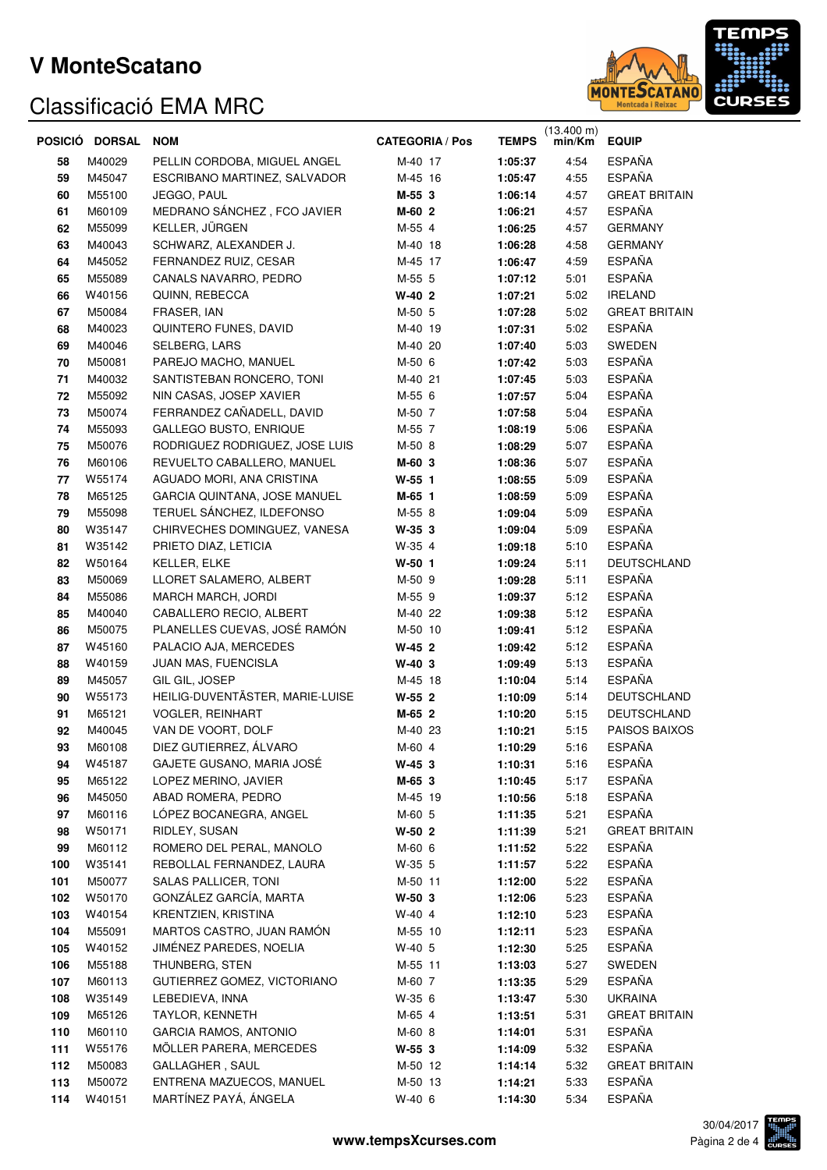

| POSICIÓ | <b>DORSAL</b> | <b>NOM</b>                      | <b>CATEGORIA / Pos</b> | <b>TEMPS</b> | $(13.400 \text{ m})$<br>min/Km | <b>EQUIP</b>         |
|---------|---------------|---------------------------------|------------------------|--------------|--------------------------------|----------------------|
| 58      | M40029        | PELLIN CORDOBA, MIGUEL ANGEL    | M-40 17                | 1:05:37      | 4:54                           | <b>ESPAÑA</b>        |
| 59      | M45047        | ESCRIBANO MARTINEZ, SALVADOR    | M-45 16                | 1:05:47      | 4:55                           | <b>ESPAÑA</b>        |
| 60      | M55100        | JEGGO, PAUL                     | M-55 3                 | 1:06:14      | 4:57                           | <b>GREAT BRITAIN</b> |
| 61      | M60109        | MEDRANO SÁNCHEZ, FCO JAVIER     | M-60 2                 | 1:06:21      | 4:57                           | <b>ESPAÑA</b>        |
| 62      | M55099        | KELLER, JÜRGEN                  | M-55 4                 | 1:06:25      | 4:57                           | <b>GERMANY</b>       |
| 63      | M40043        | SCHWARZ, ALEXANDER J.           | M-40 18                | 1:06:28      | 4:58                           | <b>GERMANY</b>       |
| 64      | M45052        | FERNANDEZ RUIZ, CESAR           | M-45 17                | 1:06:47      | 4:59                           | <b>ESPAÑA</b>        |
| 65      | M55089        | CANALS NAVARRO, PEDRO           | M-55 5                 | 1:07:12      | 5:01                           | <b>ESPAÑA</b>        |
| 66      | W40156        | QUINN, REBECCA                  | $W-40$ 2               | 1:07:21      | 5:02                           | <b>IRELAND</b>       |
| 67      | M50084        | FRASER, IAN                     | M-50 5                 | 1:07:28      | 5:02                           | <b>GREAT BRITAIN</b> |
| 68      | M40023        | QUINTERO FUNES, DAVID           | M-40 19                | 1:07:31      | 5:02                           | <b>ESPAÑA</b>        |
| 69      | M40046        | SELBERG, LARS                   | M-40 20                | 1:07:40      | 5:03                           | SWEDEN               |
| 70      | M50081        | PAREJO MACHO, MANUEL            | M-50 6                 | 1:07:42      | 5:03                           | <b>ESPAÑA</b>        |
| 71      | M40032        | SANTISTEBAN RONCERO, TONI       | M-40 21                | 1:07:45      | 5:03                           | <b>ESPAÑA</b>        |
| 72      | M55092        | NIN CASAS, JOSEP XAVIER         | M-55 6                 | 1:07:57      | 5:04                           | <b>ESPAÑA</b>        |
| 73      | M50074        | FERRANDEZ CAÑADELL, DAVID       | M-50 7                 | 1:07:58      | 5:04                           | <b>ESPAÑA</b>        |
| 74      | M55093        | GALLEGO BUSTO, ENRIQUE          | M-55 7                 | 1:08:19      | 5:06                           | <b>ESPAÑA</b>        |
| 75      | M50076        | RODRIGUEZ RODRIGUEZ, JOSE LUIS  | M-50 8                 | 1:08:29      | 5:07                           | <b>ESPAÑA</b>        |
| 76      | M60106        | REVUELTO CABALLERO, MANUEL      | M-60 3                 | 1:08:36      | 5:07                           | <b>ESPAÑA</b>        |
| 77      | W55174        | AGUADO MORI, ANA CRISTINA       | $W-55$ 1               | 1:08:55      | 5:09                           | <b>ESPAÑA</b>        |
| 78      | M65125        | GARCIA QUINTANA, JOSE MANUEL    | M-65 1                 | 1:08:59      | 5:09                           | <b>ESPAÑA</b>        |
| 79      | M55098        | TERUEL SÁNCHEZ, ILDEFONSO       | M-55 8                 | 1:09:04      | 5:09                           | <b>ESPAÑA</b>        |
| 80      | W35147        | CHIRVECHES DOMINGUEZ, VANESA    | $W-35$ 3               | 1:09:04      | 5:09                           | <b>ESPAÑA</b>        |
| 81      | W35142        | PRIETO DIAZ, LETICIA            | W-35 4                 | 1:09:18      | 5:10                           | <b>ESPAÑA</b>        |
| 82      | W50164        | KELLER, ELKE                    | $W-50$ 1               | 1:09:24      | 5:11                           | DEUTSCHLAND          |
| 83      | M50069        | LLORET SALAMERO, ALBERT         | M-50 9                 | 1:09:28      | 5:11                           | <b>ESPAÑA</b>        |
| 84      | M55086        | MARCH MARCH, JORDI              | M-55 9                 | 1:09:37      | 5:12                           | <b>ESPAÑA</b>        |
| 85      | M40040        | CABALLERO RECIO, ALBERT         | M-40 22                | 1:09:38      | 5:12                           | <b>ESPAÑA</b>        |
| 86      | M50075        | PLANELLES CUEVAS, JOSÉ RAMÓN    | M-50 10                | 1:09:41      | 5:12                           | <b>ESPAÑA</b>        |
| 87      | W45160        | PALACIO AJA, MERCEDES           | $W-45$ 2               | 1:09:42      | 5:12                           | <b>ESPAÑA</b>        |
| 88      | W40159        | JUAN MAS, FUENCISLA             | $W-40$ 3               | 1:09:49      | 5:13                           | <b>ESPAÑA</b>        |
| 89      | M45057        | GIL GIL, JOSEP                  | M-45 18                | 1:10:04      | 5:14                           | <b>ESPAÑA</b>        |
| 90      | W55173        | HEILIG-DUVENTÄSTER, MARIE-LUISE | $W-55$ 2               | 1:10:09      | 5:14                           | DEUTSCHLAND          |
| 91      | M65121        | VOGLER, REINHART                | M-65 2                 | 1:10:20      | 5:15                           | DEUTSCHLAND          |
| 92      | M40045        | VAN DE VOORT, DOLF              | M-40 23                | 1:10:21      | 5:15                           | PAISOS BAIXOS        |
| 93      | M60108        | DIEZ GUTIERREZ, ÁLVARO          | M-60 4                 | 1:10:29      | 5:16                           | ESPAÑA               |
| 94      | W45187        | GAJETE GUSANO, MARIA JOSÉ       | $W-45$ 3               | 1:10:31      | 5:16                           | <b>ESPAÑA</b>        |
| 95      | M65122        | LOPEZ MERINO, JAVIER            | M-65 3                 | 1:10:45      | 5:17                           | <b>ESPAÑA</b>        |
| 96      | M45050        | ABAD ROMERA, PEDRO              | M-45 19                | 1:10:56      | 5:18                           | <b>ESPAÑA</b>        |
| 97      | M60116        | LÓPEZ BOCANEGRA, ANGEL          | M-60 5                 | 1:11:35      | 5:21                           | <b>ESPAÑA</b>        |
| 98      | W50171        | RIDLEY, SUSAN                   | $W-50$ 2               | 1:11:39      | 5:21                           | <b>GREAT BRITAIN</b> |
| 99      | M60112        | ROMERO DEL PERAL, MANOLO        | M-60 6                 | 1:11:52      | 5:22                           | <b>ESPAÑA</b>        |
| 100     | W35141        | REBOLLAL FERNANDEZ, LAURA       | W-35 5                 | 1:11:57      | 5:22                           | ESPAÑA               |
| 101     | M50077        | <b>SALAS PALLICER, TONI</b>     | M-50 11                | 1:12:00      | 5:22                           | <b>ESPAÑA</b>        |
| 102     | W50170        | GONZÁLEZ GARCÍA, MARTA          | $W-50$ 3               | 1:12:06      | 5:23                           | <b>ESPAÑA</b>        |
| 103     | W40154        | KRENTZIEN, KRISTINA             | $W-40$ 4               | 1:12:10      | 5:23                           | <b>ESPAÑA</b>        |
| 104     | M55091        | MARTOS CASTRO, JUAN RAMÓN       | M-55 10                | 1:12:11      | 5.23                           | <b>ESPAÑA</b>        |
| 105     | W40152        | JIMÉNEZ PAREDES, NOELIA         | W-40 5                 | 1:12:30      | 5:25                           | ESPAÑA               |
| 106     | M55188        | THUNBERG, STEN                  | M-55 11                | 1:13:03      | 5.27                           | SWEDEN               |
| 107     | M60113        | GUTIERREZ GOMEZ, VICTORIANO     | M-60 7                 | 1:13:35      | 5.29                           | ESPAÑA               |
| 108     | W35149        | LEBEDIEVA, INNA                 | W-35 6                 | 1:13:47      | 5:30                           | <b>UKRAINA</b>       |
| 109     | M65126        | TAYLOR, KENNETH                 | M-65 4                 | 1:13:51      | 5:31                           | <b>GREAT BRITAIN</b> |
| 110     | M60110        | <b>GARCIA RAMOS, ANTONIO</b>    | M-60 8                 | 1:14:01      | 5:31                           | <b>ESPAÑA</b>        |
| 111     | W55176        | MÖLLER PARERA, MERCEDES         | $W-55$ 3               | 1:14:09      | 5:32                           | <b>ESPAÑA</b>        |
| 112     | M50083        | GALLAGHER, SAUL                 | M-50 12                | 1:14:14      | 5:32                           | <b>GREAT BRITAIN</b> |
| 113     | M50072        | ENTRENA MAZUECOS, MANUEL        | M-50 13                | 1:14:21      | 5:33                           | <b>ESPAÑA</b>        |
| 114     | W40151        | MARTÍNEZ PAYÁ, ÁNGELA           | W-40 6                 | 1:14:30      | 5:34                           | <b>ESPAÑA</b>        |

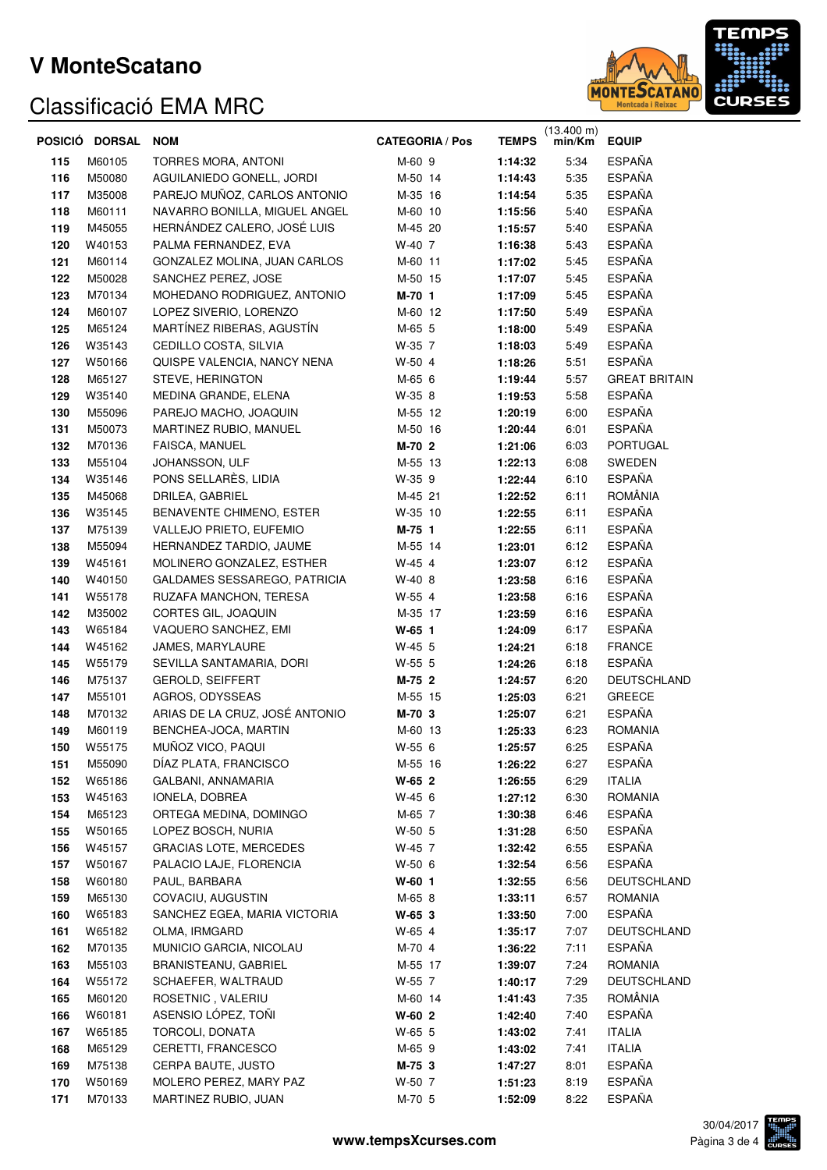

|            | POSICIÓ DORSAL   | <b>NOM</b>                                      | <b>CATEGORIA / Pos</b> | <b>TEMPS</b>       | $(13.400 \text{ m})$<br>min/Km | <b>EQUIP</b>          |
|------------|------------------|-------------------------------------------------|------------------------|--------------------|--------------------------------|-----------------------|
| 115        | M60105           | TORRES MORA, ANTONI                             | M-60 9                 | 1:14:32            | 5:34                           | <b>ESPAÑA</b>         |
| 116        | M50080           | AGUILANIEDO GONELL, JORDI                       | M-50 14                | 1:14:43            | 5:35                           | <b>ESPAÑA</b>         |
| 117        | M35008           | PAREJO MUÑOZ, CARLOS ANTONIO                    | M-35 16                | 1:14:54            | 5:35                           | <b>ESPAÑA</b>         |
| 118        | M60111           | NAVARRO BONILLA, MIGUEL ANGEL                   | M-60 10                | 1:15:56            | 5:40                           | <b>ESPAÑA</b>         |
| 119        | M45055           | HERNÁNDEZ CALERO, JOSÉ LUIS                     | M-45 20                | 1:15:57            | 5:40                           | <b>ESPAÑA</b>         |
| 120        | W40153           | PALMA FERNANDEZ, EVA                            | W-40 7                 | 1:16:38            | 5:43                           | <b>ESPAÑA</b>         |
| 121        | M60114           | GONZALEZ MOLINA, JUAN CARLOS                    | M-60 11                | 1:17:02            | 5:45                           | ESPAÑA                |
| 122        | M50028           | SANCHEZ PEREZ, JOSE                             | M-50 15                | 1:17:07            | 5:45                           | <b>ESPAÑA</b>         |
| 123        | M70134           | MOHEDANO RODRIGUEZ, ANTONIO                     | M-70 1                 | 1:17:09            | 5:45                           | <b>ESPAÑA</b>         |
| 124        | M60107           | LOPEZ SIVERIO, LORENZO                          | M-60 12                | 1:17:50            | 5:49                           | <b>ESPAÑA</b>         |
| 125        | M65124           | MARTÍNEZ RIBERAS, AGUSTÍN                       | M-65 5                 | 1:18:00            | 5:49                           | <b>ESPAÑA</b>         |
| 126        | W35143           | CEDILLO COSTA, SILVIA                           | W-35 7                 | 1:18:03            | 5:49                           | ESPAÑA                |
| 127        | W50166           | QUISPE VALENCIA, NANCY NENA                     | W-50 4                 | 1:18:26            | 5:51                           | ESPAÑA                |
| 128        | M65127           | STEVE, HERINGTON                                | M-65 6                 | 1:19:44            | 5:57                           | <b>GREAT BRITAIN</b>  |
| 129        | W35140           | MEDINA GRANDE, ELENA                            | W-35 8                 | 1:19:53            | 5:58                           | <b>ESPAÑA</b>         |
| 130        | M55096           | PAREJO MACHO, JOAQUIN                           | M-55 12                | 1:20:19            | 6:00                           | <b>ESPAÑA</b>         |
| 131        | M50073           | MARTINEZ RUBIO, MANUEL                          | M-50 16                | 1:20:44            | 6:01                           | <b>ESPAÑA</b>         |
| 132        | M70136           | FAISCA, MANUEL                                  | M-70 2                 | 1:21:06            | 6:03                           | PORTUGAL              |
| 133        | M55104           | JOHANSSON, ULF                                  | M-55 13                | 1:22:13            | 6:08                           | SWEDEN                |
| 134        | W35146           | PONS SELLARÈS, LIDIA                            | W-35 9                 | 1:22:44            | 6:10                           | <b>ESPAÑA</b>         |
| 135        | M45068           | DRILEA, GABRIEL                                 | M-45 21                | 1:22:52            | 6:11                           | ROMÂNIA               |
| 136        | W35145           | BENAVENTE CHIMENO, ESTER                        | W-35 10                | 1:22:55            | 6:11                           | ESPAÑA                |
| 137        | M75139           | VALLEJO PRIETO, EUFEMIO                         | M-75 1                 | 1:22:55            | 6:11                           | <b>ESPAÑA</b>         |
| 138        | M55094           | HERNANDEZ TARDIO, JAUME                         | M-55 14                | 1:23:01            | 6:12                           | <b>ESPAÑA</b>         |
| 139        | W45161           | MOLINERO GONZALEZ, ESTHER                       | W-45 4                 | 1:23:07            | 6:12                           | <b>ESPAÑA</b>         |
| 140        | W40150           | GALDAMES SESSAREGO, PATRICIA                    | W-40 8                 | 1:23:58            | 6:16                           | <b>ESPAÑA</b>         |
| 141        | W55178           | RUZAFA MANCHON, TERESA                          | W-55 4                 | 1:23:58            | 6:16                           | <b>ESPAÑA</b>         |
| 142        | M35002           | CORTES GIL, JOAQUIN                             | M-35 17                | 1:23:59            | 6:16                           | ESPAÑA                |
| 143        | W65184           | VAQUERO SANCHEZ, EMI                            | $W-65$ 1               | 1:24:09            | 6:17                           | ESPAÑA                |
| 144        | W45162           | JAMES, MARYLAURE                                | W-45 5                 | 1:24:21            | 6:18                           | <b>FRANCE</b>         |
| 145        | W55179           | SEVILLA SANTAMARIA, DORI                        | W-55 5                 | 1:24:26            | 6:18                           | <b>ESPAÑA</b>         |
| 146        | M75137           | GEROLD, SEIFFERT                                | M-75 2                 | 1:24:57            | 6:20                           | DEUTSCHLAND           |
| 147        | M55101           | AGROS, ODYSSEAS                                 | M-55 15                | 1:25:03            | 6:21                           | <b>GREECE</b>         |
| 148        | M70132           | ARIAS DE LA CRUZ, JOSÉ ANTONIO                  | M-70 3                 | 1:25:07            | 6:21                           | <b>ESPAÑA</b>         |
| 149        | M60119           | BENCHEA-JOCA, MARTIN                            | M-60 13                | 1:25:33            | 6:23                           | <b>ROMANIA</b>        |
| 150        | W55175           | MUÑOZ VICO, PAQUI                               | W-55 6                 | 1:25:57            | 6:25                           | <b>ESPAÑA</b>         |
| 151        | M55090           | DÍAZ PLATA, FRANCISCO                           | M-55 16                | 1:26:22            | 6:27                           | ESPAÑA                |
| 152        | W65186           | GALBANI, ANNAMARIA                              | W-65 2                 | 1:26:55            | 6:29                           | <b>ITALIA</b>         |
| 153        | W45163           | IONELA, DOBREA                                  | W-45 6                 | 1:27:12            | 6:30                           | <b>ROMANIA</b>        |
| 154        | M65123           | ORTEGA MEDINA, DOMINGO                          | M-65 7                 | 1:30:38            | 6:46                           | ESPAÑA                |
| 155        | W50165           | LOPEZ BOSCH, NURIA                              | W-50 5                 | 1:31:28            | 6:50                           | <b>ESPAÑA</b>         |
| 156        | W45157           | GRACIAS LOTE, MERCEDES                          | W-45 7                 | 1:32:42            | 6:55                           | ESPAÑA                |
| 157        | W50167           | PALACIO LAJE, FLORENCIA                         | W-50 6                 | 1:32:54            | 6:56                           | ESPAÑA                |
| 158        | W60180           | PAUL, BARBARA                                   | $W-60$ 1               | 1:32:55            | 6:56                           | DEUTSCHLAND           |
| 159        | M65130           | COVACIU, AUGUSTIN                               | M-65 8                 | 1:33:11            | 6:57                           | <b>ROMANIA</b>        |
| 160        | W65183           | SANCHEZ EGEA, MARIA VICTORIA                    | W-65 3                 | 1:33:50            | 7:00                           | ESPAÑA                |
| 161        | W65182           | OLMA, IRMGARD                                   | W-65 4                 | 1:35:17            | 7:07                           | DEUTSCHLAND<br>ESPAÑA |
| 162        | M70135           | MUNICIO GARCIA, NICOLAU<br>BRANISTEANU, GABRIEL | M-70 4                 | 1:36:22            | 7:11<br>7:24                   | <b>ROMANIA</b>        |
| 163        | M55103           | SCHAEFER, WALTRAUD                              | M-55 17                | 1:39:07            |                                | DEUTSCHLAND           |
| 164        | W55172           |                                                 | W-55 7                 | 1:40:17            | 7:29                           | ROMÂNIA               |
| 165<br>166 | M60120<br>W60181 | ROSETNIC, VALERIU<br>ASENSIO LÓPEZ, TOÑI        | M-60 14<br>$W-60$ 2    | 1:41:43<br>1:42:40 | 7:35<br>7:40                   | ESPAÑA                |
| 167        | W65185           | TORCOLI, DONATA                                 | W-65 5                 | 1:43:02            | 7:41                           | <b>ITALIA</b>         |
| 168        | M65129           | CERETTI, FRANCESCO                              | M-65 9                 | 1:43:02            | 7:41                           | <b>ITALIA</b>         |
| 169        | M75138           | CERPA BAUTE, JUSTO                              | M-75 3                 | 1:47:27            | 8:01                           | ESPAÑA                |
| 170        | W50169           | MOLERO PEREZ, MARY PAZ                          | W-50 7                 | 1:51:23            | 8:19                           | <b>ESPAÑA</b>         |
| 171        | M70133           | MARTINEZ RUBIO, JUAN                            | M-70 5                 | 1:52:09            | 8:22                           | <b>ESPAÑA</b>         |
|            |                  |                                                 |                        |                    |                                |                       |